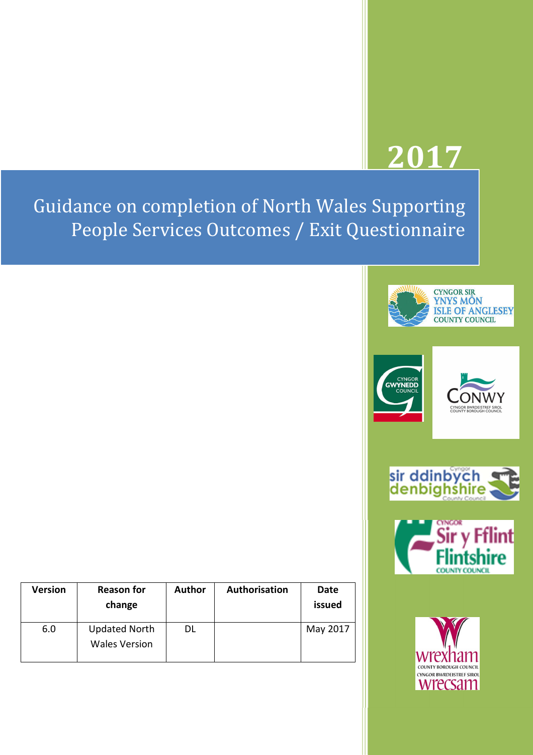# **2017**

Guidance on completion of North Wales Supporting People Services Outcomes / Exit Questionnaire











| <b>Version</b> | <b>Reason for</b><br>change                  | <b>Author</b> | Authorisation | Date<br>issued |
|----------------|----------------------------------------------|---------------|---------------|----------------|
| 6.0            | <b>Updated North</b><br><b>Wales Version</b> | DL            |               | May 2017       |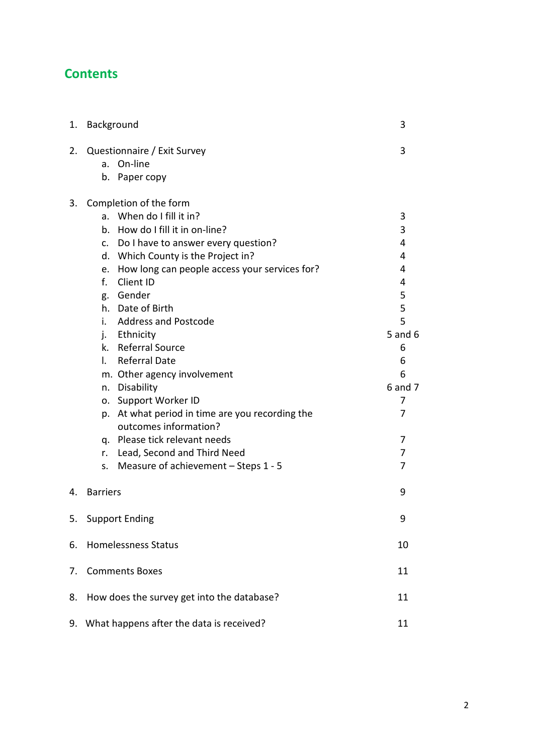# **Contents**

| 1. | Background                                                                                                                                                                                                                                                                                                                                                                                                                                                                                                                                                                                                                                                                       | 3                                                                                                           |  |
|----|----------------------------------------------------------------------------------------------------------------------------------------------------------------------------------------------------------------------------------------------------------------------------------------------------------------------------------------------------------------------------------------------------------------------------------------------------------------------------------------------------------------------------------------------------------------------------------------------------------------------------------------------------------------------------------|-------------------------------------------------------------------------------------------------------------|--|
| 2. | Questionnaire / Exit Survey<br>On-line<br>a.<br>Paper copy<br>b.                                                                                                                                                                                                                                                                                                                                                                                                                                                                                                                                                                                                                 | 3                                                                                                           |  |
| 3. | Completion of the form<br>a. When do I fill it in?<br>How do I fill it in on-line?<br>b.<br>c. Do I have to answer every question?<br>d. Which County is the Project in?<br>How long can people access your services for?<br>e.<br>f.<br>Client ID<br>Gender<br>g.<br>Date of Birth<br>h.<br>i.<br><b>Address and Postcode</b><br>j. Ethnicity<br>k. Referral Source<br><b>Referral Date</b><br>L.<br>m. Other agency involvement<br>n. Disability<br>Support Worker ID<br>о.<br>At what period in time are you recording the<br>p.<br>outcomes information?<br>q. Please tick relevant needs<br>Lead, Second and Third Need<br>r.<br>Measure of achievement - Steps 1 - 5<br>S. | 3<br>3<br>4<br>4<br>4<br>4<br>5<br>5<br>5<br>$5$ and $6$<br>6<br>6<br>6<br>6 and 7<br>7<br>7<br>7<br>7<br>7 |  |
| 4. | <b>Barriers</b>                                                                                                                                                                                                                                                                                                                                                                                                                                                                                                                                                                                                                                                                  | 9                                                                                                           |  |
| 5. | <b>Support Ending</b>                                                                                                                                                                                                                                                                                                                                                                                                                                                                                                                                                                                                                                                            | 9                                                                                                           |  |
| 6. | <b>Homelessness Status</b>                                                                                                                                                                                                                                                                                                                                                                                                                                                                                                                                                                                                                                                       | 10                                                                                                          |  |
| 7. | <b>Comments Boxes</b>                                                                                                                                                                                                                                                                                                                                                                                                                                                                                                                                                                                                                                                            | 11                                                                                                          |  |
| 8. | How does the survey get into the database?                                                                                                                                                                                                                                                                                                                                                                                                                                                                                                                                                                                                                                       | 11                                                                                                          |  |
| 9. | What happens after the data is received?<br>11                                                                                                                                                                                                                                                                                                                                                                                                                                                                                                                                                                                                                                   |                                                                                                             |  |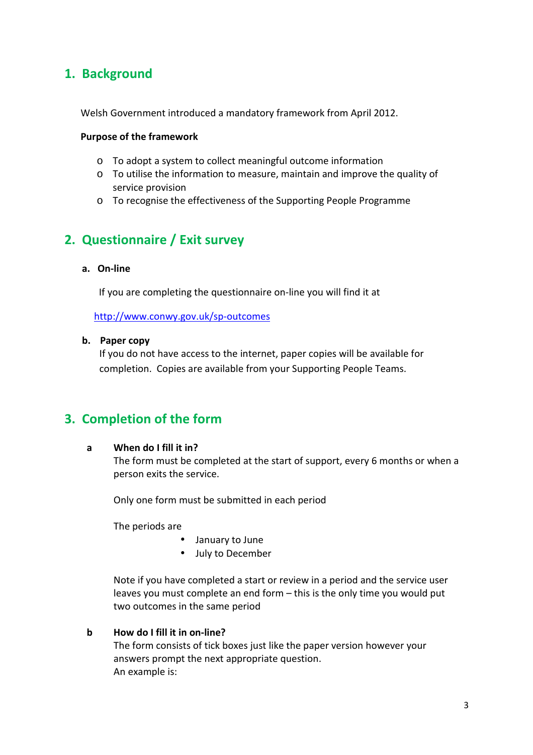## **1. Background**

Welsh Government introduced a mandatory framework from April 2012.

#### **Purpose of the framework**

- o To adopt a system to collect meaningful outcome information
- o To utilise the information to measure, maintain and improve the quality of service provision
- o To recognise the effectiveness of the Supporting People Programme

# **2. Questionnaire / Exit survey**

#### **a. On-line**

If you are completing the questionnaire on-line you will find it at

http://www.conwy.gov.uk/sp-outcomes

#### **b. Paper copy**

If you do not have access to the internet, paper copies will be available for completion. Copies are available from your Supporting People Teams.

## **3. Completion of the form**

#### **a When do I fill it in?**

The form must be completed at the start of support, every 6 months or when a person exits the service.

Only one form must be submitted in each period

The periods are

- January to June
- July to December

Note if you have completed a start or review in a period and the service user leaves you must complete an end form – this is the only time you would put two outcomes in the same period

#### **b How do I fill it in on-line?**

The form consists of tick boxes just like the paper version however your answers prompt the next appropriate question. An example is: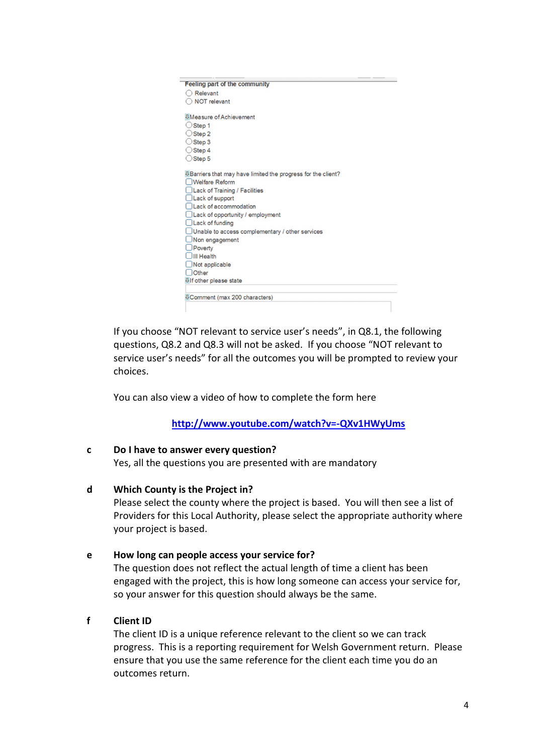| Feeling part of the community                                      |
|--------------------------------------------------------------------|
| Relevant                                                           |
| <b>NOT</b> relevant                                                |
| <b><i>UMeasure of Achievement</i></b>                              |
| Step 1                                                             |
| Step 2                                                             |
|                                                                    |
| Step 3                                                             |
| Step 4                                                             |
| $\bigcirc$ Step 5                                                  |
| <b>Barriers that may have limited the progress for the client?</b> |
| <b>Welfare Reform</b>                                              |
| Lack of Training / Facilities                                      |
| Lack of support                                                    |
| Lack of accommodation                                              |
| Lack of opportunity / employment                                   |
| Lack of funding                                                    |
| Unable to access complementary / other services                    |
| Non engagement                                                     |
| Poverty                                                            |
| III Health                                                         |
| Not applicable                                                     |
| <b>Other</b>                                                       |
| <b>Ulf other please state</b>                                      |
|                                                                    |
| <b>0</b> Comment (max 200 characters)                              |
|                                                                    |

If you choose "NOT relevant to service user's needs", in Q8.1, the following questions, Q8.2 and Q8.3 will not be asked. If you choose "NOT relevant to service user's needs" for all the outcomes you will be prompted to review your choices.

You can also view a video of how to complete the form here

**http://www.youtube.com/watch?v=-QXv1HWyUms**

#### **c Do I have to answer every question?**

Yes, all the questions you are presented with are mandatory

#### **d Which County is the Project in?**

Please select the county where the project is based. You will then see a list of Providers for this Local Authority, please select the appropriate authority where your project is based.

#### **e How long can people access your service for?**

The question does not reflect the actual length of time a client has been engaged with the project, this is how long someone can access your service for, so your answer for this question should always be the same.

#### **f Client ID**

The client ID is a unique reference relevant to the client so we can track progress. This is a reporting requirement for Welsh Government return. Please ensure that you use the same reference for the client each time you do an outcomes return.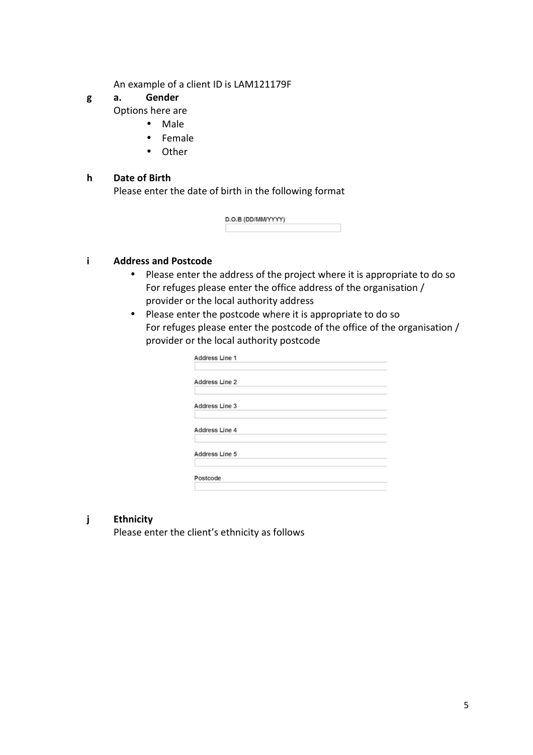An example of a client ID is LAM121179F

# **g a. Gender**

Options here are

- Male
- Female
- Other

#### **h Date of Birth**

Please enter the date of birth in the following format

| D.O.B (DD/MM/YYYY) |  |
|--------------------|--|
|                    |  |

#### **i Address and Postcode**

- Please enter the address of the project where it is appropriate to do so For refuges please enter the office address of the organisation / provider or the local authority address
- Please enter the postcode where it is appropriate to do so For refuges please enter the postcode of the office of the organisation / provider or the local authority postcode

| <b>Address Line 1</b> |  |  |
|-----------------------|--|--|
| <b>Address Line 2</b> |  |  |
| <b>Address Line 3</b> |  |  |
| <b>Address Line 4</b> |  |  |
| <b>Address Line 5</b> |  |  |
| Postcode              |  |  |

#### **j Ethnicity**

Please enter the client's ethnicity as follows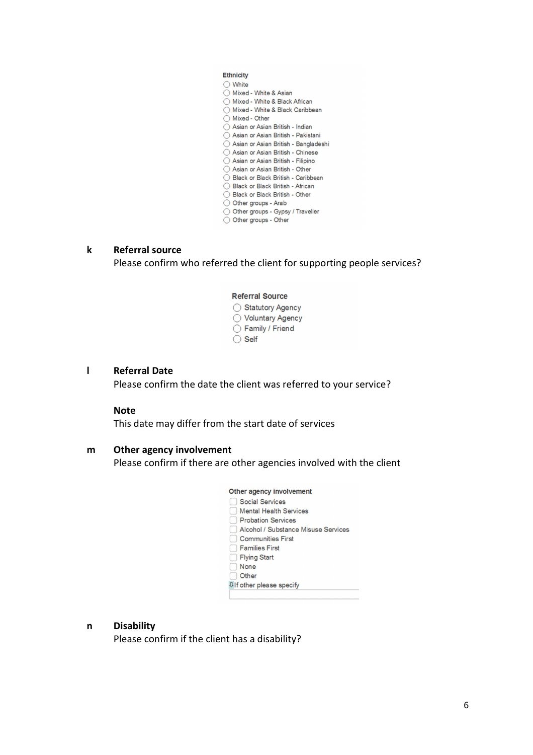Ethnicity  $\bigcirc$  White ◯ Mixed - White & Asian ◯ Mixed - White & Asian<br>◯ Mixed - White & Black African<br>◯ Mixed - White & Black Caribbean ◯ Mixed - Other  $\bigcirc$  Mixed - Other<br>  $\bigcirc$  Asian or Asian British - Indian ○ Asian or Asian British - Pakistani Asian or Asian British - Bangladeshi ◯ Asian or Asian British - Chinese ○ Asian or Asian British - Filipino ◯ Asian or Asian British - Other ◯ Black or Black British - Caribbean ◯ Black or Black British - African Black or Black British - Other O Other groups - Arab O Other groups - Gypsy / Traveller O Other groups - Other

#### **k Referral source**

Please confirm who referred the client for supporting people services?

#### **Referral Source** ◯ Statutory Agency ◯ Voluntary Agency ◯ Family / Friend  $\bigcirc$  Self

#### **l Referral Date**

Please confirm the date the client was referred to your service?

#### **Note**

This date may differ from the start date of services

#### **m Other agency involvement**

Please confirm if there are other agencies involved with the client

#### Other agency involvement Social Services Mental Health Services Probation Services Alcohol / Substance Misuse Services **Communities First Families First** Flying Start Rone **Other Ulf other please specify**

#### **n Disability**

Please confirm if the client has a disability?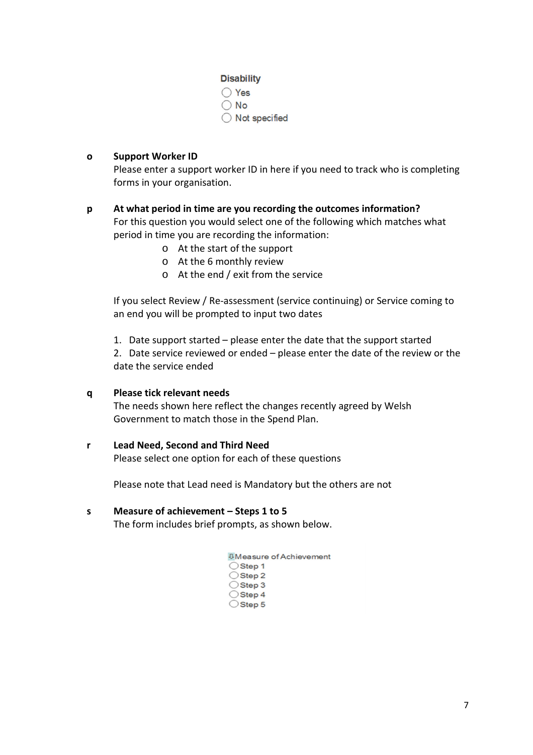#### **Disability**

◯ Yes  $\bigcirc$  No  $\bigcirc$  Not specified

#### **o Support Worker ID**

Please enter a support worker ID in here if you need to track who is completing forms in your organisation.

### **p At what period in time are you recording the outcomes information?**  For this question you would select one of the following which matches what period in time you are recording the information:

- o At the start of the support
- o At the 6 monthly review
- o At the end / exit from the service

If you select Review / Re-assessment (service continuing) or Service coming to an end you will be prompted to input two dates

1. Date support started – please enter the date that the support started

2. Date service reviewed or ended – please enter the date of the review or the date the service ended

#### **q Please tick relevant needs**

The needs shown here reflect the changes recently agreed by Welsh Government to match those in the Spend Plan.

#### **r Lead Need, Second and Third Need**

Please select one option for each of these questions

Please note that Lead need is Mandatory but the others are not

#### **s Measure of achievement – Steps 1 to 5**

The form includes brief prompts, as shown below.

| <b>UMeasure of Achievement</b> |
|--------------------------------|
| $\bigcirc$ Step 1              |
| $\bigcirc$ Step 2              |
| $\bigcirc$ Step 3              |
| $\bigcirc$ Step 4              |
| Step 5                         |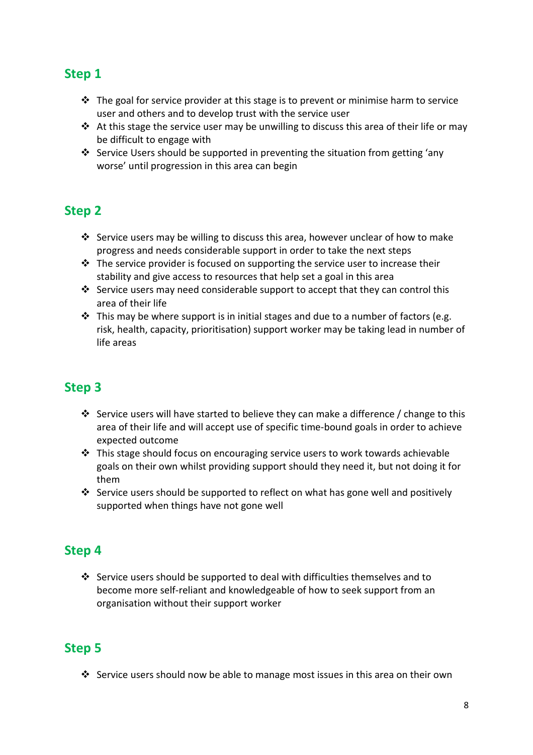# **Step 1**

- $\clubsuit$  The goal for service provider at this stage is to prevent or minimise harm to service user and others and to develop trust with the service user
- $\cdot$  At this stage the service user may be unwilling to discuss this area of their life or may be difficult to engage with
- Service Users should be supported in preventing the situation from getting 'any worse' until progression in this area can begin

# **Step 2**

- Service users may be willing to discuss this area, however unclear of how to make progress and needs considerable support in order to take the next steps
- $\cdot \cdot$  The service provider is focused on supporting the service user to increase their stability and give access to resources that help set a goal in this area
- Service users may need considerable support to accept that they can control this area of their life
- $\cdot$  This may be where support is in initial stages and due to a number of factors (e.g. risk, health, capacity, prioritisation) support worker may be taking lead in number of life areas

# **Step 3**

- Service users will have started to believe they can make a difference / change to this area of their life and will accept use of specific time-bound goals in order to achieve expected outcome
- This stage should focus on encouraging service users to work towards achievable goals on their own whilst providing support should they need it, but not doing it for them
- $\cdot$  Service users should be supported to reflect on what has gone well and positively supported when things have not gone well

# **Step 4**

 $\div$  Service users should be supported to deal with difficulties themselves and to become more self-reliant and knowledgeable of how to seek support from an organisation without their support worker

# **Step 5**

Service users should now be able to manage most issues in this area on their own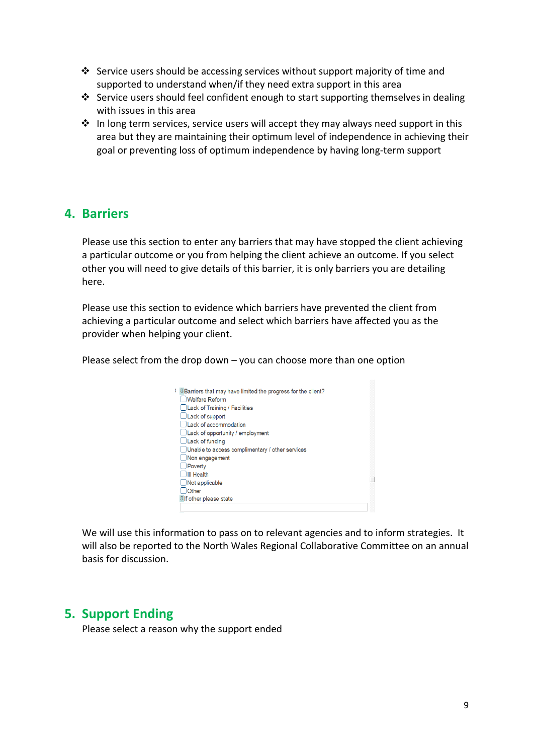- Service users should be accessing services without support majority of time and supported to understand when/if they need extra support in this area
- Service users should feel confident enough to start supporting themselves in dealing with issues in this area
- $\cdot$  In long term services, service users will accept they may always need support in this area but they are maintaining their optimum level of independence in achieving their goal or preventing loss of optimum independence by having long-term support

## **4. Barriers**

Please use this section to enter any barriers that may have stopped the client achieving a particular outcome or you from helping the client achieve an outcome. If you select other you will need to give details of this barrier, it is only barriers you are detailing here.

Please use this section to evidence which barriers have prevented the client from achieving a particular outcome and select which barriers have affected you as the provider when helping your client.

Please select from the drop down – you can choose more than one option

| <b>U Barriers that may have limited the progress for the client?</b><br><b>Welfare Reform</b> |
|-----------------------------------------------------------------------------------------------|
| Lack of Training / Facilities                                                                 |
| $\Box$ Lack of support                                                                        |
| Lack of accommodation                                                                         |
| $\Box$ Lack of opportunity / employment                                                       |
| $\Box$ Lack of funding                                                                        |
| Unable to access complimentary / other services                                               |
| Non engagement                                                                                |
| Poverty                                                                                       |
| III Health                                                                                    |
| Not applicable                                                                                |
| Other                                                                                         |
| Ulf other please state                                                                        |
|                                                                                               |

We will use this information to pass on to relevant agencies and to inform strategies. It will also be reported to the North Wales Regional Collaborative Committee on an annual basis for discussion.

## **5. Support Ending**

Please select a reason why the support ended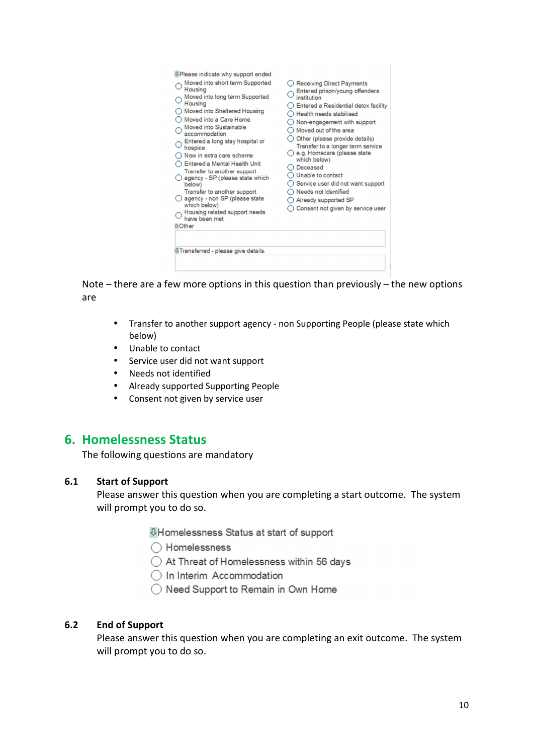| <b>8 Please indicate why support ended</b><br>Moved into short term Supported<br>Housing<br>Moved into long term Supported<br>Housing<br>Moved into Sheltered Housing<br>Moved into a Care Home<br>Moved into Sustainable<br>accommodation<br>Entered a long stay hospital or<br>hospice<br>Now in extra care scheme<br>Entered a Mental Health Unit<br>Transfer to another support<br>agency - SP (please state which<br>below)<br>Transfer to another support<br>agency - non SP (please state<br>which below)<br>Housing related support needs<br>have been met<br><b><i><u>B</u></i></b> Other | Receiving Direct Payments<br>Entered prison/young offenders<br>institution<br>Entered a Residential detox facility<br>Health needs stabilised<br>Non-engagement with support<br>Moved out of the area<br>Other (please provide details)<br>Transfer to a longer term service<br>e.g. Homecare (please state<br>which below)<br>Deceased<br>Unable to contact<br>Service user did not want support<br>Needs not identified<br>Already supported SP<br>Consent not given by service user |
|----------------------------------------------------------------------------------------------------------------------------------------------------------------------------------------------------------------------------------------------------------------------------------------------------------------------------------------------------------------------------------------------------------------------------------------------------------------------------------------------------------------------------------------------------------------------------------------------------|----------------------------------------------------------------------------------------------------------------------------------------------------------------------------------------------------------------------------------------------------------------------------------------------------------------------------------------------------------------------------------------------------------------------------------------------------------------------------------------|
| <b>UTransferred - please give details.</b>                                                                                                                                                                                                                                                                                                                                                                                                                                                                                                                                                         |                                                                                                                                                                                                                                                                                                                                                                                                                                                                                        |

Note – there are a few more options in this question than previously – the new options are

- Transfer to another support agency non Supporting People (please state which below)
- Unable to contact
- Service user did not want support
- Needs not identified
- Already supported Supporting People
- Consent not given by service user

## **6. Homelessness Status**

The following questions are mandatory

#### **6.1 Start of Support**

Please answer this question when you are completing a start outcome. The system will prompt you to do so.

**UHomelessness Status at start of support** 

◯ Homelessness

◯ At Threat of Homelessness within 56 days

O In Interim Accommodation

◯ Need Support to Remain in Own Home

#### **6.2 End of Support**

Please answer this question when you are completing an exit outcome. The system will prompt you to do so.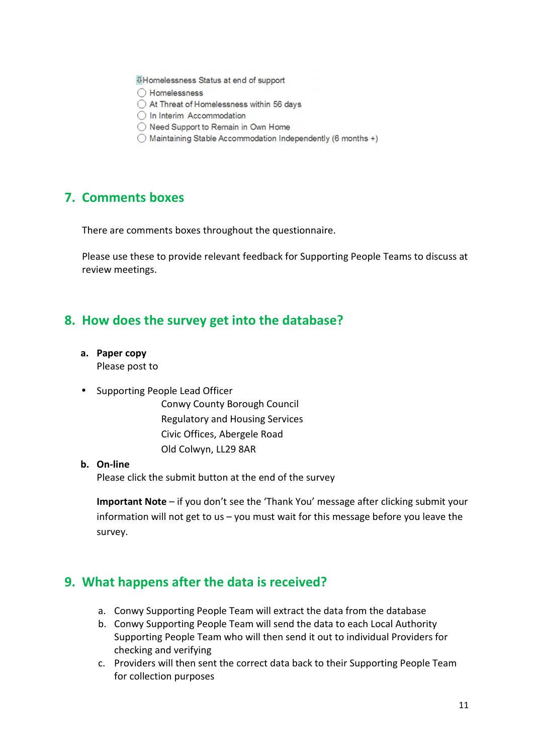**UHomelessness Status at end of support** 

- ◯ Homelessness
- ◯ At Threat of Homelessness within 56 days
- O In Interim Accommodation
- ◯ Need Support to Remain in Own Home
- ◯ Maintaining Stable Accommodation Independently (6 months +)

## **7. Comments boxes**

There are comments boxes throughout the questionnaire.

Please use these to provide relevant feedback for Supporting People Teams to discuss at review meetings.

## **8. How does the survey get into the database?**

**a. Paper copy** 

Please post to

• Supporting People Lead Officer

Conwy County Borough Council Regulatory and Housing Services Civic Offices, Abergele Road Old Colwyn, LL29 8AR

#### **b. On-line**

Please click the submit button at the end of the survey

**Important Note** – if you don't see the 'Thank You' message after clicking submit your information will not get to us – you must wait for this message before you leave the survey.

## **9. What happens after the data is received?**

- a. Conwy Supporting People Team will extract the data from the database
- b. Conwy Supporting People Team will send the data to each Local Authority Supporting People Team who will then send it out to individual Providers for checking and verifying
- c. Providers will then sent the correct data back to their Supporting People Team for collection purposes